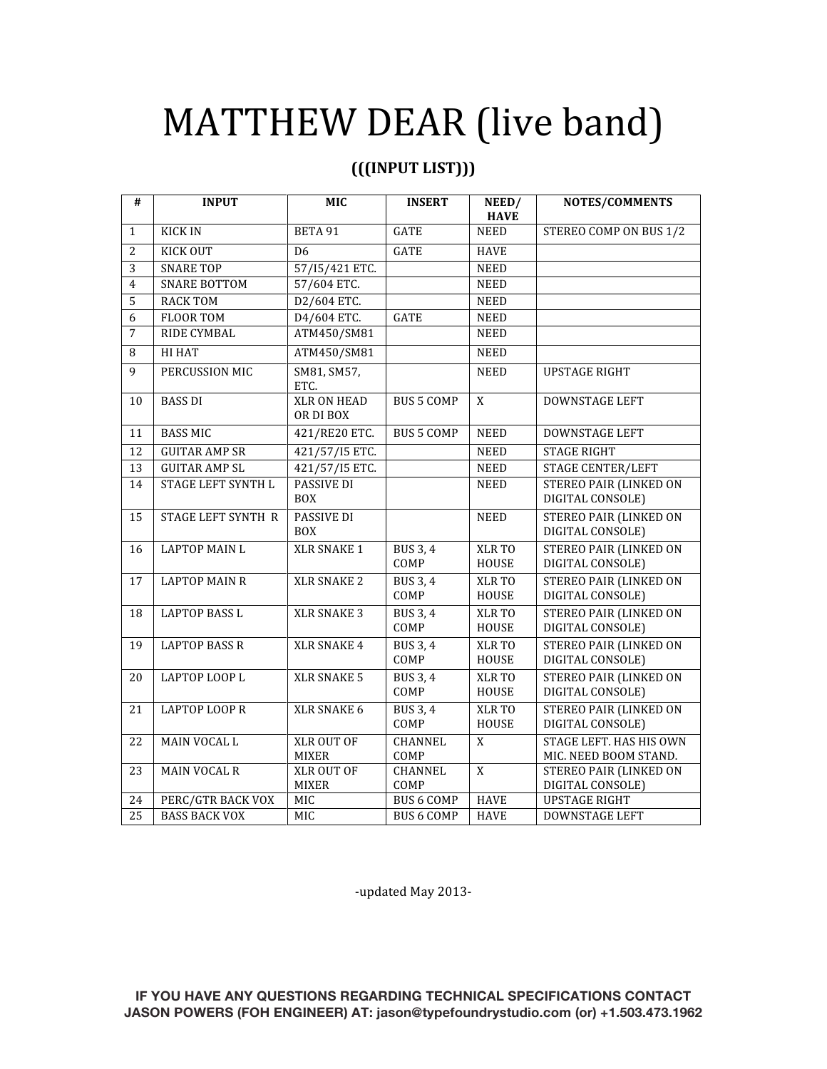## MATTHEW DEAR (live band)

## **(((INPUT LIST)))**

| #               | <b>INPUT</b>         | MIC                               | <b>INSERT</b>           | NEED/<br><b>HAVE</b>   | NOTES/COMMENTS                                    |
|-----------------|----------------------|-----------------------------------|-------------------------|------------------------|---------------------------------------------------|
| $\mathbf{1}$    | <b>KICK IN</b>       | BETA 91                           | <b>GATE</b>             | <b>NEED</b>            | STEREO COMP ON BUS 1/2                            |
| $\overline{2}$  | <b>KICK OUT</b>      | D <sub>6</sub>                    | <b>GATE</b>             | <b>HAVE</b>            |                                                   |
| $\overline{3}$  | <b>SNARE TOP</b>     | 57/15/421 ETC.                    |                         | <b>NEED</b>            |                                                   |
| $\overline{4}$  | <b>SNARE BOTTOM</b>  | 57/604 ETC.                       |                         | <b>NEED</b>            |                                                   |
| $\overline{5}$  | <b>RACK TOM</b>      | D2/604 ETC.                       |                         | <b>NEED</b>            |                                                   |
| 6               | <b>FLOOR TOM</b>     | D4/604 ETC.                       | <b>GATE</b>             | <b>NEED</b>            |                                                   |
| $\overline{7}$  | RIDE CYMBAL          | ATM450/SM81                       |                         | <b>NEED</b>            |                                                   |
| 8               | <b>HI HAT</b>        | ATM450/SM81                       |                         | <b>NEED</b>            |                                                   |
| 9               | PERCUSSION MIC       | SM81, SM57,<br>ETC.               |                         | <b>NEED</b>            | <b>UPSTAGE RIGHT</b>                              |
| 10              | <b>BASS DI</b>       | <b>XLR ON HEAD</b><br>OR DI BOX   | <b>BUS 5 COMP</b>       | $\overline{X}$         | <b>DOWNSTAGE LEFT</b>                             |
| 11              | <b>BASS MIC</b>      | 421/RE20 ETC.                     | <b>BUS 5 COMP</b>       | <b>NEED</b>            | <b>DOWNSTAGE LEFT</b>                             |
| 12              | <b>GUITAR AMP SR</b> | 421/57/I5 ETC.                    |                         | <b>NEED</b>            | <b>STAGE RIGHT</b>                                |
| 13              | <b>GUITAR AMP SL</b> | 421/57/I5 ETC.                    |                         | <b>NEED</b>            | <b>STAGE CENTER/LEFT</b>                          |
| 14              | STAGE LEFT SYNTH L   | <b>PASSIVE DI</b><br><b>BOX</b>   |                         | <b>NEED</b>            | <b>STEREO PAIR (LINKED ON</b><br>DIGITAL CONSOLE) |
| 15              | STAGE LEFT SYNTH R   | PASSIVE DI<br><b>BOX</b>          |                         | <b>NEED</b>            | <b>STEREO PAIR (LINKED ON</b><br>DIGITAL CONSOLE) |
| 16              | <b>LAPTOP MAIN L</b> | XLR SNAKE 1                       | <b>BUS 3, 4</b><br>COMP | XLR TO<br>HOUSE        | <b>STEREO PAIR (LINKED ON</b><br>DIGITAL CONSOLE) |
| 17              | <b>LAPTOP MAIN R</b> | <b>XLR SNAKE 2</b>                | <b>BUS 3, 4</b><br>COMP | XLR TO<br>HOUSE        | <b>STEREO PAIR (LINKED ON</b><br>DIGITAL CONSOLE) |
| 18              | <b>LAPTOP BASS L</b> | <b>XLR SNAKE 3</b>                | <b>BUS 3, 4</b><br>COMP | XLR TO<br>HOUSE        | <b>STEREO PAIR (LINKED ON</b><br>DIGITAL CONSOLE) |
| 19              | <b>LAPTOP BASS R</b> | <b>XLR SNAKE 4</b>                | <b>BUS 3, 4</b><br>COMP | XLR TO<br>HOUSE        | <b>STEREO PAIR (LINKED ON</b><br>DIGITAL CONSOLE) |
| 20              | LAPTOP LOOP L        | <b>XLR SNAKE 5</b>                | BUS 3, 4<br>COMP        | XLR TO<br><b>HOUSE</b> | STEREO PAIR (LINKED ON<br>DIGITAL CONSOLE)        |
| 21              | <b>LAPTOP LOOP R</b> | XLR SNAKE 6                       | <b>BUS 3, 4</b><br>COMP | XLR TO<br>HOUSE        | <b>STEREO PAIR (LINKED ON</b><br>DIGITAL CONSOLE) |
| 22              | MAIN VOCAL L         | <b>XLR OUT OF</b><br><b>MIXER</b> | <b>CHANNEL</b><br>COMP  | X                      | STAGE LEFT. HAS HIS OWN<br>MIC. NEED BOOM STAND.  |
| 23              | <b>MAIN VOCAL R</b>  | XLR OUT OF<br><b>MIXER</b>        | CHANNEL<br>COMP         | $\mathbf X$            | <b>STEREO PAIR (LINKED ON</b><br>DIGITAL CONSOLE) |
| 24              | PERC/GTR BACK VOX    | <b>MIC</b>                        | <b>BUS 6 COMP</b>       | <b>HAVE</b>            | <b>UPSTAGE RIGHT</b>                              |
| $\overline{25}$ | <b>BASS BACK VOX</b> | MIC                               | <b>BUS 6 COMP</b>       | <b>HAVE</b>            | DOWNSTAGE LEFT                                    |

‐updated May 2013‐